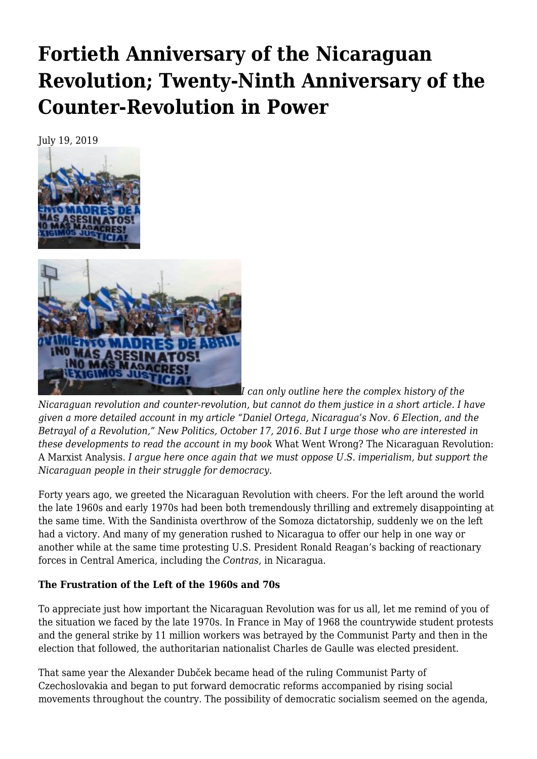# **[Fortieth Anniversary of the Nicaraguan](https://newpol.org/fortieth-anniversary-of-the-nicaraguan-revolution-twenty-ninth-anniversary-of-the-counter-revolution-in-power/) [Revolution; Twenty-Ninth Anniversary of the](https://newpol.org/fortieth-anniversary-of-the-nicaraguan-revolution-twenty-ninth-anniversary-of-the-counter-revolution-in-power/) [Counter-Revolution in Power](https://newpol.org/fortieth-anniversary-of-the-nicaraguan-revolution-twenty-ninth-anniversary-of-the-counter-revolution-in-power/)**

July 19, 2019





*I can only outline here the complex history of the Nicaraguan revolution and counter-revolution, but cannot do them justice in a short article. I have given a more detailed account in my article "Daniel Ortega, Nicaragua's Nov. 6 Election, and the Betrayal of a Revolution," [New Politics, October 17, 2016](https://newpol.org/daniel-ortega-nicaraguas-nov-6-election-and-betrayal-revolution/)*. *But I urge those who are interested in these developments to read the account in my book* [What Went Wrong? The Nicaraguan Revolution:](https://www.haymarketbooks.org/books/1121-what-went-wrong-the-nicaraguan-revolution) [A Marxist Analysis.](https://www.haymarketbooks.org/books/1121-what-went-wrong-the-nicaraguan-revolution) *I argue here once again that we must oppose U.S. imperialism, but support the Nicaraguan people in their struggle for democracy.*

Forty years ago, we greeted the Nicaraguan Revolution with cheers. For the left around the world the late 1960s and early 1970s had been both tremendously thrilling and extremely disappointing at the same time. With the Sandinista overthrow of the Somoza dictatorship, suddenly we on the left had a victory. And many of my generation rushed to Nicaragua to offer our help in one way or another while at the same time protesting U.S. President Ronald Reagan's backing of reactionary forces in Central America, including the *Contras,* in Nicaragua.

### **The Frustration of the Left of the 1960s and 70s**

To appreciate just how important the Nicaraguan Revolution was for us all, let me remind of you of the situation we faced by the late 1970s. In France in May of 1968 the countrywide student protests and the general strike by 11 million workers was betrayed by the Communist Party and then in the election that followed, the authoritarian nationalist Charles de Gaulle was elected president.

That same year the Alexander Dubček became head of the ruling Communist Party of Czechoslovakia and began to put forward democratic reforms accompanied by rising social movements throughout the country. The possibility of democratic socialism seemed on the agenda,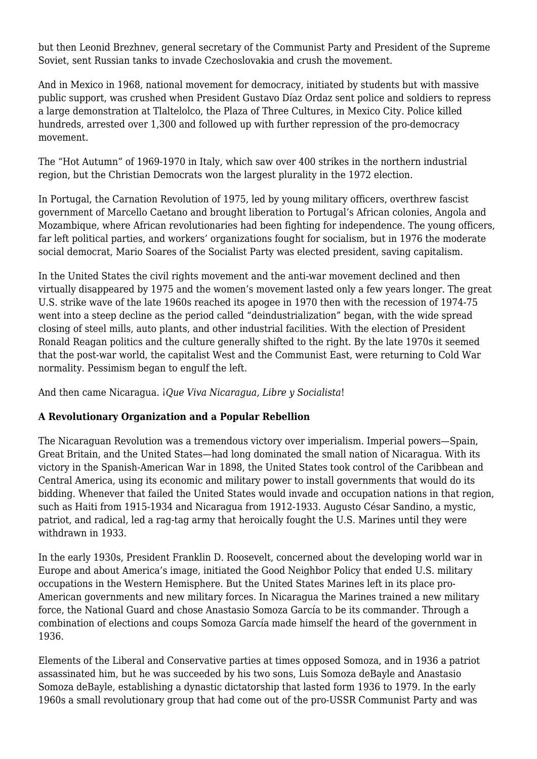but then Leonid Brezhnev, general secretary of the Communist Party and President of the Supreme Soviet, sent Russian tanks to invade Czechoslovakia and crush the movement.

And in Mexico in 1968, national movement for democracy, initiated by students but with massive public support, was crushed when President Gustavo Díaz Ordaz sent police and soldiers to repress a large demonstration at Tlaltelolco, the Plaza of Three Cultures, in Mexico City. Police killed hundreds, arrested over 1,300 and followed up with further repression of the pro-democracy movement.

The "Hot Autumn" of 1969-1970 in Italy, which saw over 400 strikes in the northern industrial region, but the Christian Democrats won the largest plurality in the 1972 election.

In Portugal, the Carnation Revolution of 1975, led by young military officers, overthrew fascist government of Marcello Caetano and brought liberation to Portugal's African colonies, Angola and Mozambique, where African revolutionaries had been fighting for independence. The young officers, far left political parties, and workers' organizations fought for socialism, but in 1976 the moderate social democrat, Mario Soares of the Socialist Party was elected president, saving capitalism.

In the United States the civil rights movement and the anti-war movement declined and then virtually disappeared by 1975 and the women's movement lasted only a few years longer. The great U.S. strike wave of the late 1960s reached its apogee in 1970 then with the recession of 1974-75 went into a steep decline as the period called "deindustrialization" began, with the wide spread closing of steel mills, auto plants, and other industrial facilities. With the election of President Ronald Reagan politics and the culture generally shifted to the right. By the late 1970s it seemed that the post-war world, the capitalist West and the Communist East, were returning to Cold War normality. Pessimism began to engulf the left.

And then came Nicaragua. *¡Que Viva Nicaragua, Libre y Socialista*!

### **A Revolutionary Organization and a Popular Rebellion**

The Nicaraguan Revolution was a tremendous victory over imperialism. Imperial powers—Spain, Great Britain, and the United States—had long dominated the small nation of Nicaragua. With its victory in the Spanish-American War in 1898, the United States took control of the Caribbean and Central America, using its economic and military power to install governments that would do its bidding. Whenever that failed the United States would invade and occupation nations in that region, such as Haiti from 1915-1934 and Nicaragua from 1912-1933. Augusto César Sandino, a mystic, patriot, and radical, led a rag-tag army that heroically fought the U.S. Marines until they were withdrawn in 1933.

In the early 1930s, President Franklin D. Roosevelt, concerned about the developing world war in Europe and about America's image, initiated the Good Neighbor Policy that ended U.S. military occupations in the Western Hemisphere. But the United States Marines left in its place pro-American governments and new military forces. In Nicaragua the Marines trained a new military force, the National Guard and chose Anastasio Somoza García to be its commander. Through a combination of elections and coups Somoza García made himself the heard of the government in 1936.

Elements of the Liberal and Conservative parties at times opposed Somoza, and in 1936 a patriot assassinated him, but he was succeeded by his two sons, Luis Somoza deBayle and Anastasio Somoza deBayle, establishing a dynastic dictatorship that lasted form 1936 to 1979. In the early 1960s a small revolutionary group that had come out of the pro-USSR Communist Party and was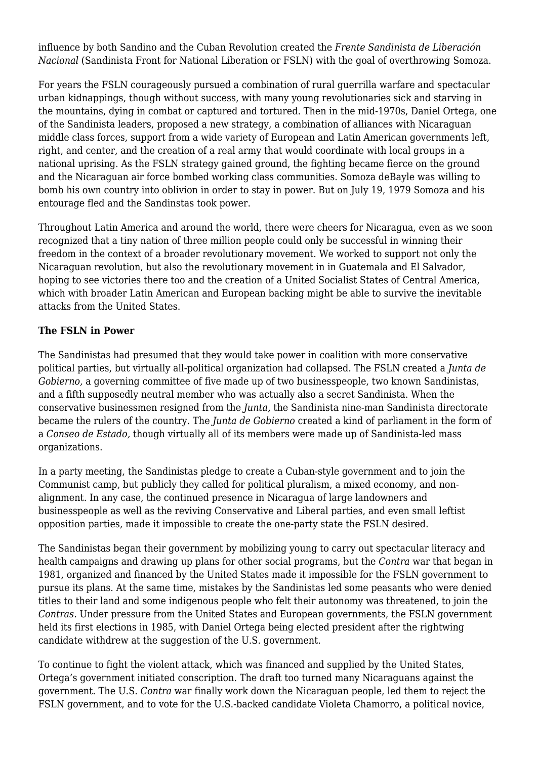influence by both Sandino and the Cuban Revolution created the *Frente Sandinista de Liberación Nacional* (Sandinista Front for National Liberation or FSLN) with the goal of overthrowing Somoza.

For years the FSLN courageously pursued a combination of rural guerrilla warfare and spectacular urban kidnappings, though without success, with many young revolutionaries sick and starving in the mountains, dying in combat or captured and tortured. Then in the mid-1970s, Daniel Ortega, one of the Sandinista leaders, proposed a new strategy, a combination of alliances with Nicaraguan middle class forces, support from a wide variety of European and Latin American governments left, right, and center, and the creation of a real army that would coordinate with local groups in a national uprising. As the FSLN strategy gained ground, the fighting became fierce on the ground and the Nicaraguan air force bombed working class communities. Somoza deBayle was willing to bomb his own country into oblivion in order to stay in power. But on July 19, 1979 Somoza and his entourage fled and the Sandinstas took power.

Throughout Latin America and around the world, there were cheers for Nicaragua, even as we soon recognized that a tiny nation of three million people could only be successful in winning their freedom in the context of a broader revolutionary movement. We worked to support not only the Nicaraguan revolution, but also the revolutionary movement in in Guatemala and El Salvador, hoping to see victories there too and the creation of a United Socialist States of Central America, which with broader Latin American and European backing might be able to survive the inevitable attacks from the United States.

### **The FSLN in Power**

The Sandinistas had presumed that they would take power in coalition with more conservative political parties, but virtually all-political organization had collapsed. The FSLN created a *Junta de Gobierno,* a governing committee of five made up of two businesspeople, two known Sandinistas, and a fifth supposedly neutral member who was actually also a secret Sandinista. When the conservative businessmen resigned from the *Junta,* the Sandinista nine-man Sandinista directorate became the rulers of the country. The *Junta de Gobierno* created a kind of parliament in the form of a *Conseo de Estado,* though virtually all of its members were made up of Sandinista-led mass organizations.

In a party meeting, the Sandinistas pledge to create a Cuban-style government and to join the Communist camp, but publicly they called for political pluralism, a mixed economy, and nonalignment. In any case, the continued presence in Nicaragua of large landowners and businesspeople as well as the reviving Conservative and Liberal parties, and even small leftist opposition parties, made it impossible to create the one-party state the FSLN desired.

The Sandinistas began their government by mobilizing young to carry out spectacular literacy and health campaigns and drawing up plans for other social programs, but the *Contra* war that began in 1981, organized and financed by the United States made it impossible for the FSLN government to pursue its plans. At the same time, mistakes by the Sandinistas led some peasants who were denied titles to their land and some indigenous people who felt their autonomy was threatened, to join the *Contras.* Under pressure from the United States and European governments, the FSLN government held its first elections in 1985, with Daniel Ortega being elected president after the rightwing candidate withdrew at the suggestion of the U.S. government.

To continue to fight the violent attack, which was financed and supplied by the United States, Ortega's government initiated conscription. The draft too turned many Nicaraguans against the government. The U.S. *Contra* war finally work down the Nicaraguan people, led them to reject the FSLN government, and to vote for the U.S.-backed candidate Violeta Chamorro, a political novice,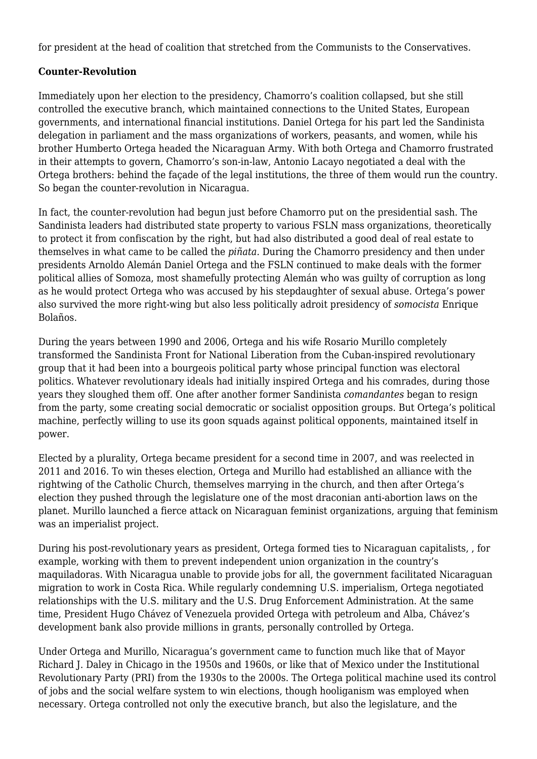for president at the head of coalition that stretched from the Communists to the Conservatives.

### **Counter-Revolution**

Immediately upon her election to the presidency, Chamorro's coalition collapsed, but she still controlled the executive branch, which maintained connections to the United States, European governments, and international financial institutions. Daniel Ortega for his part led the Sandinista delegation in parliament and the mass organizations of workers, peasants, and women, while his brother Humberto Ortega headed the Nicaraguan Army. With both Ortega and Chamorro frustrated in their attempts to govern, Chamorro's son-in-law, Antonio Lacayo negotiated a deal with the Ortega brothers: behind the façade of the legal institutions, the three of them would run the country. So began the counter-revolution in Nicaragua.

In fact, the counter-revolution had begun just before Chamorro put on the presidential sash. The Sandinista leaders had distributed state property to various FSLN mass organizations, theoretically to protect it from confiscation by the right, but had also distributed a good deal of real estate to themselves in what came to be called the *piñata.* During the Chamorro presidency and then under presidents Arnoldo Alemán Daniel Ortega and the FSLN continued to make deals with the former political allies of Somoza, most shamefully protecting Alemán who was guilty of corruption as long as he would protect Ortega who was accused by his stepdaughter of sexual abuse. Ortega's power also survived the more right-wing but also less politically adroit presidency of *somocista* Enrique Bolaños.

During the years between 1990 and 2006, Ortega and his wife Rosario Murillo completely transformed the Sandinista Front for National Liberation from the Cuban-inspired revolutionary group that it had been into a bourgeois political party whose principal function was electoral politics. Whatever revolutionary ideals had initially inspired Ortega and his comrades, during those years they sloughed them off. One after another former Sandinista *comandantes* began to resign from the party, some creating social democratic or socialist opposition groups. But Ortega's political machine, perfectly willing to use its goon squads against political opponents, maintained itself in power.

Elected by a plurality, Ortega became president for a second time in 2007, and was reelected in 2011 and 2016. To win theses election, Ortega and Murillo had established an alliance with the rightwing of the Catholic Church, themselves marrying in the church, and then after Ortega's election they pushed through the legislature one of the most draconian anti-abortion laws on the planet. Murillo launched a fierce attack on Nicaraguan feminist organizations, arguing that feminism was an imperialist project.

During his post-revolutionary years as president, Ortega formed ties to Nicaraguan capitalists, , for example, working with them to prevent independent union organization in the country's maquiladoras. With Nicaragua unable to provide jobs for all, the government facilitated Nicaraguan migration to work in Costa Rica. While regularly condemning U.S. imperialism, Ortega negotiated relationships with the U.S. military and the U.S. Drug Enforcement Administration. At the same time, President Hugo Chávez of Venezuela provided Ortega with petroleum and Alba, Chávez's development bank also provide millions in grants, personally controlled by Ortega.

Under Ortega and Murillo, Nicaragua's government came to function much like that of Mayor Richard J. Daley in Chicago in the 1950s and 1960s, or like that of Mexico under the Institutional Revolutionary Party (PRI) from the 1930s to the 2000s. The Ortega political machine used its control of jobs and the social welfare system to win elections, though hooliganism was employed when necessary. Ortega controlled not only the executive branch, but also the legislature, and the